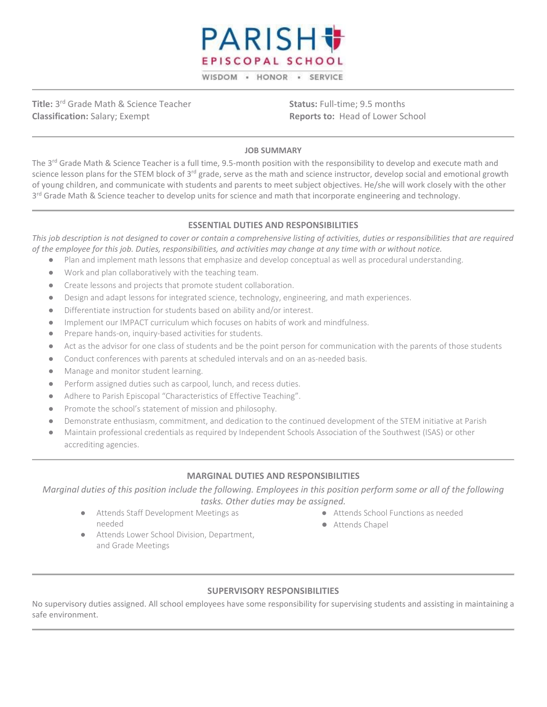

**Title:** 3rd Grade Math & Science Teacher **Classification:** Salary; Exempt

**Status:** Full-time; 9.5 months **Reports to:** Head of Lower School

#### **JOB SUMMARY**

The 3<sup>rd</sup> Grade Math & Science Teacher is a full time, 9.5-month position with the responsibility to develop and execute math and science lesson plans for the STEM block of 3<sup>rd</sup> grade, serve as the math and science instructor, develop social and emotional growth of young children, and communicate with students and parents to meet subject objectives. He/she will work closely with the other 3<sup>rd</sup> Grade Math & Science teacher to develop units for science and math that incorporate engineering and technology.

#### **ESSENTIAL DUTIES AND RESPONSIBILITIES**

*This job description is not designed to cover or contain a comprehensive listing of activities, duties or responsibilities that are required of the employee for this job. Duties, responsibilities, and activities may change at any time with or without notice.*

- Plan and implement math lessons that emphasize and develop conceptual as well as procedural understanding.
- Work and plan collaboratively with the teaching team.
- Create lessons and projects that promote student collaboration.
- Design and adapt lessons for integrated science, technology, engineering, and math experiences.
- Differentiate instruction for students based on ability and/or interest.
- Implement our IMPACT curriculum which focuses on habits of work and mindfulness.
- Prepare hands-on, inquiry-based activities for students.
- Act as the advisor for one class of students and be the point person for communication with the parents of those students
- Conduct conferences with parents at scheduled intervals and on an as-needed basis.
- Manage and monitor student learning.
- Perform assigned duties such as carpool, lunch, and recess duties.
- Adhere to Parish Episcopal "Characteristics of Effective Teaching".
- Promote the school's statement of mission and philosophy.
- Demonstrate enthusiasm, commitment, and dedication to the continued development of the STEM initiative at Parish
- Maintain professional credentials as required by Independent Schools Association of the Southwest (ISAS) or other accrediting agencies.

### **MARGINAL DUTIES AND RESPONSIBILITIES**

*Marginal duties of this position include the following. Employees in this position perform some or all of the following tasks. Other duties may be assigned.*

● Attends Staff Development Meetings as needed

- Attends School Functions as needed
- Attends Chapel
- Attends Lower School Division, Department, and Grade Meetings

### **SUPERVISORY RESPONSIBILITIES**

No supervisory duties assigned. All school employees have some responsibility for supervising students and assisting in maintaining a safe environment.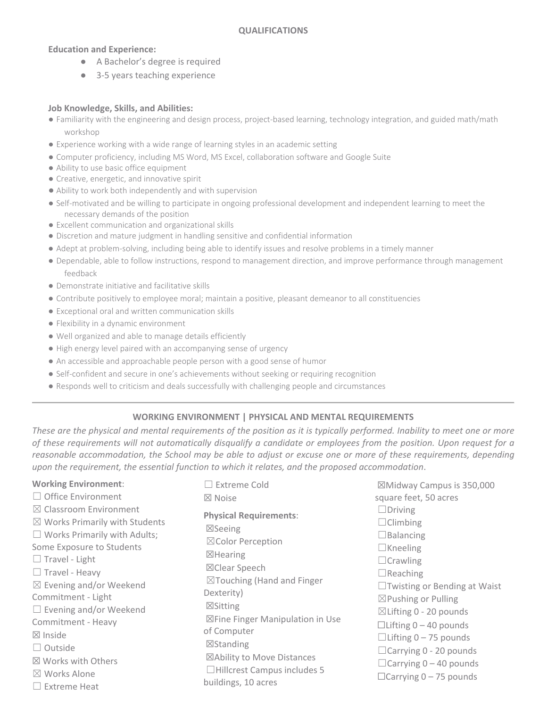## **Education and Experience:**

- A Bachelor's degree is required
- 3-5 years teaching experience

### **Job Knowledge, Skills, and Abilities:**

- Familiarity with the engineering and design process, project-based learning, technology integration, and guided math/math workshop
- Experience working with a wide range of learning styles in an academic setting
- Computer proficiency, including MS Word, MS Excel, collaboration software and Google Suite
- Ability to use basic office equipment
- Creative, energetic, and innovative spirit
- Ability to work both independently and with supervision
- Self-motivated and be willing to participate in ongoing professional development and independent learning to meet the necessary demands of the position
- Excellent communication and organizational skills
- Discretion and mature judgment in handling sensitive and confidential information
- Adept at problem-solving, including being able to identify issues and resolve problems in a timely manner
- Dependable, able to follow instructions, respond to management direction, and improve performance through management feedback
- Demonstrate initiative and facilitative skills
- Contribute positively to employee moral; maintain a positive, pleasant demeanor to all constituencies
- Exceptional oral and written communication skills
- Flexibility in a dynamic environment
- Well organized and able to manage details efficiently
- High energy level paired with an accompanying sense of urgency
- An accessible and approachable people person with a good sense of humor
- Self-confident and secure in one's achievements without seeking or requiring recognition
- Responds well to criticism and deals successfully with challenging people and circumstances

# **WORKING ENVIRONMENT | PHYSICAL AND MENTAL REQUIREMENTS**

*These are the physical and mental requirements of the position as it is typically performed. Inability to meet one or more of these requirements will not automatically disqualify a candidate or employees from the position. Upon request for a reasonable accommodation, the School may be able to adjust or excuse one or more of these requirements, depending upon the requirement, the essential function to which it relates, and the proposed accommodation*.

| <b>Working Environment:</b>                                                                                                                                                                                                                                                                                                                                                                                                              | $\Box$ Extreme Cold                                                                                                                                                                                                                                                                                                                                       | ⊠Midway Campus is 350,000                                                                                                                                                                                                                                                                                                                                                                  |
|------------------------------------------------------------------------------------------------------------------------------------------------------------------------------------------------------------------------------------------------------------------------------------------------------------------------------------------------------------------------------------------------------------------------------------------|-----------------------------------------------------------------------------------------------------------------------------------------------------------------------------------------------------------------------------------------------------------------------------------------------------------------------------------------------------------|--------------------------------------------------------------------------------------------------------------------------------------------------------------------------------------------------------------------------------------------------------------------------------------------------------------------------------------------------------------------------------------------|
| $\Box$ Office Environment                                                                                                                                                                                                                                                                                                                                                                                                                | $\boxtimes$ Noise                                                                                                                                                                                                                                                                                                                                         | square feet, 50 acres                                                                                                                                                                                                                                                                                                                                                                      |
| $\boxtimes$ Classroom Environment<br>$\boxtimes$ Works Primarily with Students<br>$\Box$ Works Primarily with Adults;<br>Some Exposure to Students<br>$\Box$ Travel - Light<br>$\Box$ Travel - Heavy<br>$\boxtimes$ Evening and/or Weekend<br>Commitment - Light<br>$\Box$ Evening and/or Weekend<br>Commitment - Heavy<br>$\boxtimes$ Inside<br>$\Box$ Outside<br>⊠ Works with Others<br>$\boxtimes$ Works Alone<br>$\Box$ Extreme Heat | <b>Physical Requirements:</b><br>$\boxtimes$ Seeing<br>⊠Color Perception<br>$\boxtimes$ Hearing<br>⊠Clear Speech<br>$\boxtimes$ Touching (Hand and Finger<br>Dexterity)<br>⊠Sitting<br>⊠Fine Finger Manipulation in Use<br>of Computer<br>$\boxtimes$ Standing<br>⊠Ability to Move Distances<br>$\Box$ Hillcrest Campus includes 5<br>buildings, 10 acres | $\Box$ Driving<br>$\Box$ Climbing<br>$\Box$ Balancing<br>$\Box$ Kneeling<br>$\Box$ Crawling<br>$\Box$ Reaching<br>$\Box$ Twisting or Bending at Waist<br>$\boxtimes$ Pushing or Pulling<br>$\boxtimes$ Lifting 0 - 20 pounds<br>$\Box$ Lifting 0 - 40 pounds<br>$\Box$ Lifting 0 – 75 pounds<br>□ Carrying 0 - 20 pounds<br>$\Box$ Carrying 0 – 40 pounds<br>$\Box$ Carrying 0 - 75 pounds |